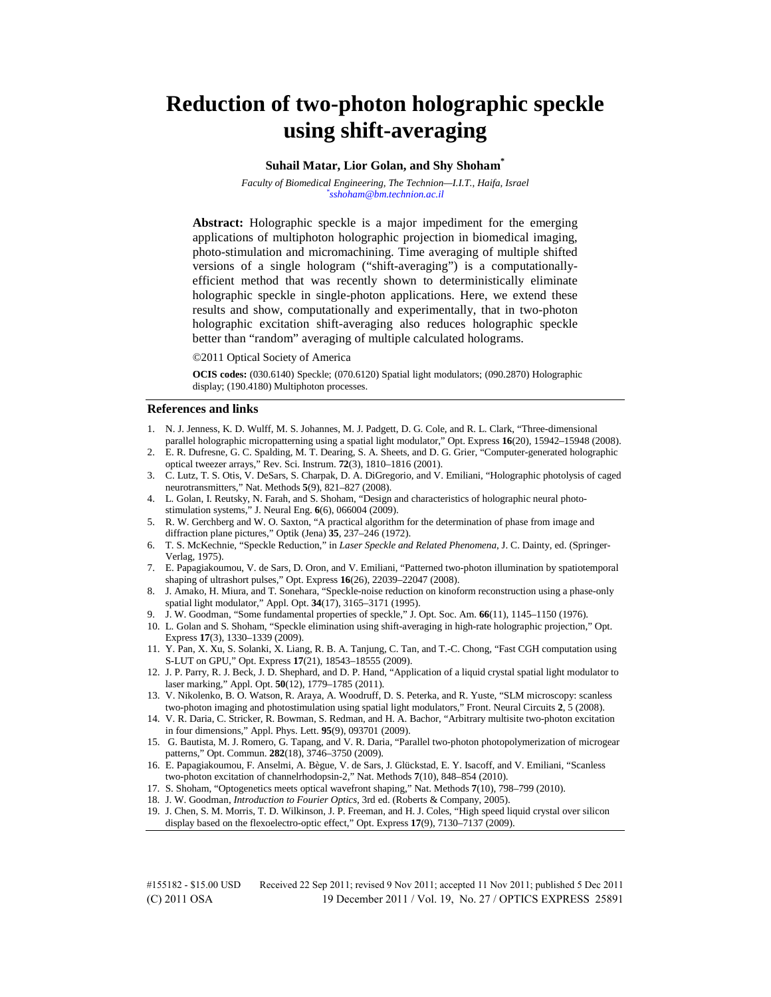# **Reduction of two-photon holographic speckle using shift-averaging**

#### **Suhail Matar, Lior Golan, and Shy Shoham\***

*Faculty of Biomedical Engineering, The Technion—I.I.T., Haifa, Israel \* sshoham@bm.technion.ac.il*

**Abstract:** Holographic speckle is a major impediment for the emerging applications of multiphoton holographic projection in biomedical imaging, photo-stimulation and micromachining. Time averaging of multiple shifted versions of a single hologram ("shift-averaging") is a computationallyefficient method that was recently shown to deterministically eliminate holographic speckle in single-photon applications. Here, we extend these results and show, computationally and experimentally, that in two-photon holographic excitation shift-averaging also reduces holographic speckle better than "random" averaging of multiple calculated holograms.

©2011 Optical Society of America

**OCIS codes:** (030.6140) Speckle; (070.6120) Spatial light modulators; (090.2870) Holographic display; (190.4180) Multiphoton processes.

#### **References and links**

- 1. N. J. Jenness, K. D. Wulff, M. S. Johannes, M. J. Padgett, D. G. Cole, and R. L. Clark, "Three-dimensional parallel holographic micropatterning using a spatial light modulator," Opt. Express **16**(20), 15942–15948 (2008).
- 2. E. R. Dufresne, G. C. Spalding, M. T. Dearing, S. A. Sheets, and D. G. Grier, "Computer-generated holographic optical tweezer arrays," Rev. Sci. Instrum. **72**(3), 1810–1816 (2001).
- 3. C. Lutz, T. S. Otis, V. DeSars, S. Charpak, D. A. DiGregorio, and V. Emiliani, "Holographic photolysis of caged neurotransmitters," Nat. Methods **5**(9), 821–827 (2008).
- 4. L. Golan, I. Reutsky, N. Farah, and S. Shoham, "Design and characteristics of holographic neural photostimulation systems," J. Neural Eng. **6**(6), 066004 (2009).
- 5. R. W. Gerchberg and W. O. Saxton, "A practical algorithm for the determination of phase from image and diffraction plane pictures," Optik (Jena) **35**, 237–246 (1972).
- 6. T. S. McKechnie, "Speckle Reduction," in *Laser Speckle and Related Phenomena*, J. C. Dainty, ed. (Springer-Verlag, 1975).
- 7. E. Papagiakoumou, V. de Sars, D. Oron, and V. Emiliani, "Patterned two-photon illumination by spatiotemporal shaping of ultrashort pulses," Opt. Express **16**(26), 22039–22047 (2008).
- 8. J. Amako, H. Miura, and T. Sonehara, "Speckle-noise reduction on kinoform reconstruction using a phase-only spatial light modulator," Appl. Opt. **34**(17), 3165–3171 (1995).
- 9. J. W. Goodman, "Some fundamental properties of speckle," J. Opt. Soc. Am. **66**(11), 1145–1150 (1976).
- 10. L. Golan and S. Shoham, "Speckle elimination using shift-averaging in high-rate holographic projection," Opt. Express **17**(3), 1330–1339 (2009).
- 11. Y. Pan, X. Xu, S. Solanki, X. Liang, R. B. A. Tanjung, C. Tan, and T.-C. Chong, "Fast CGH computation using S-LUT on GPU," Opt. Express **17**(21), 18543–18555 (2009).
- 12. J. P. Parry, R. J. Beck, J. D. Shephard, and D. P. Hand, "Application of a liquid crystal spatial light modulator to laser marking," Appl. Opt. **50**(12), 1779–1785 (2011).
- 13. V. Nikolenko, B. O. Watson, R. Araya, A. Woodruff, D. S. Peterka, and R. Yuste, "SLM microscopy: scanless two-photon imaging and photostimulation using spatial light modulators," Front. Neural Circuits **2**, 5 (2008).
- 14. V. R. Daria, C. Stricker, R. Bowman, S. Redman, and H. A. Bachor, "Arbitrary multisite two-photon excitation in four dimensions," Appl. Phys. Lett. **95**(9), 093701 (2009).
- 15. G. Bautista, M. J. Romero, G. Tapang, and V. R. Daria, "Parallel two-photon photopolymerization of microgear patterns," Opt. Commun. **282**(18), 3746–3750 (2009).
- 16. E. Papagiakoumou, F. Anselmi, A. Bègue, V. de Sars, J. Glückstad, E. Y. Isacoff, and V. Emiliani, "Scanless two-photon excitation of channelrhodopsin-2," Nat. Methods **7**(10), 848–854 (2010).
- 17. S. Shoham, "Optogenetics meets optical wavefront shaping," Nat. Methods **7**(10), 798–799 (2010).
- 18. J. W. Goodman, *Introduction to Fourier Optics,* 3rd ed. (Roberts & Company, 2005).
- 19. J. Chen, S. M. Morris, T. D. Wilkinson, J. P. Freeman, and H. J. Coles, "High speed liquid crystal over silicon display based on the flexoelectro-optic effect," Opt. Express **17**(9), 7130–7137 (2009).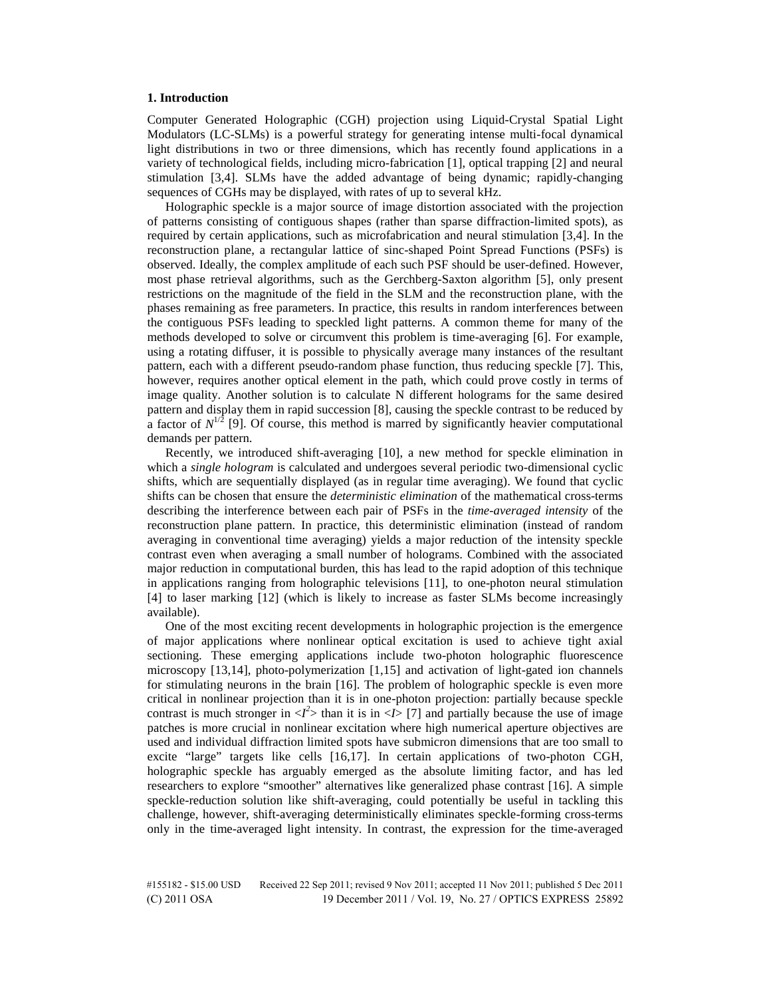#### **1. Introduction**

Computer Generated Holographic (CGH) projection using Liquid-Crystal Spatial Light Modulators (LC-SLMs) is a powerful strategy for generating intense multi-focal dynamical light distributions in two or three dimensions, which has recently found applications in a variety of technological fields, including micro-fabrication [1], optical trapping [2] and neural stimulation [3,4]. SLMs have the added advantage of being dynamic; rapidly-changing sequences of CGHs may be displayed, with rates of up to several kHz.

Holographic speckle is a major source of image distortion associated with the projection of patterns consisting of contiguous shapes (rather than sparse diffraction-limited spots), as required by certain applications, such as microfabrication and neural stimulation [3,4]. In the reconstruction plane, a rectangular lattice of sinc-shaped Point Spread Functions (PSFs) is observed. Ideally, the complex amplitude of each such PSF should be user-defined. However, most phase retrieval algorithms, such as the Gerchberg-Saxton algorithm [5], only present restrictions on the magnitude of the field in the SLM and the reconstruction plane, with the phases remaining as free parameters. In practice, this results in random interferences between the contiguous PSFs leading to speckled light patterns. A common theme for many of the methods developed to solve or circumvent this problem is time-averaging [6]. For example, using a rotating diffuser, it is possible to physically average many instances of the resultant pattern, each with a different pseudo-random phase function, thus reducing speckle [7]. This, however, requires another optical element in the path, which could prove costly in terms of image quality. Another solution is to calculate N different holograms for the same desired pattern and display them in rapid succession [8], causing the speckle contrast to be reduced by a factor of  $N^{1/2}$  [9]. Of course, this method is marred by significantly heavier computational demands per pattern.

Recently, we introduced shift-averaging [10], a new method for speckle elimination in which a *single hologram* is calculated and undergoes several periodic two-dimensional cyclic shifts, which are sequentially displayed (as in regular time averaging). We found that cyclic shifts can be chosen that ensure the *deterministic elimination* of the mathematical cross-terms describing the interference between each pair of PSFs in the *time-averaged intensity* of the reconstruction plane pattern. In practice, this deterministic elimination (instead of random averaging in conventional time averaging) yields a major reduction of the intensity speckle contrast even when averaging a small number of holograms. Combined with the associated major reduction in computational burden, this has lead to the rapid adoption of this technique in applications ranging from holographic televisions [11], to one-photon neural stimulation [4] to laser marking [12] (which is likely to increase as faster SLMs become increasingly available).

One of the most exciting recent developments in holographic projection is the emergence of major applications where nonlinear optical excitation is used to achieve tight axial sectioning. These emerging applications include two-photon holographic fluorescence microscopy [13,14], photo-polymerization [1,15] and activation of light-gated ion channels for stimulating neurons in the brain [16]. The problem of holographic speckle is even more critical in nonlinear projection than it is in one-photon projection: partially because speckle contrast is much stronger in  $\langle I^2 \rangle$  than it is in  $\langle I \rangle$  [7] and partially because the use of image patches is more crucial in nonlinear excitation where high numerical aperture objectives are used and individual diffraction limited spots have submicron dimensions that are too small to excite "large" targets like cells [16,17]. In certain applications of two-photon CGH, holographic speckle has arguably emerged as the absolute limiting factor, and has led researchers to explore "smoother" alternatives like generalized phase contrast [16]. A simple speckle-reduction solution like shift-averaging, could potentially be useful in tackling this challenge, however, shift-averaging deterministically eliminates speckle-forming cross-terms only in the time-averaged light intensity. In contrast, the expression for the time-averaged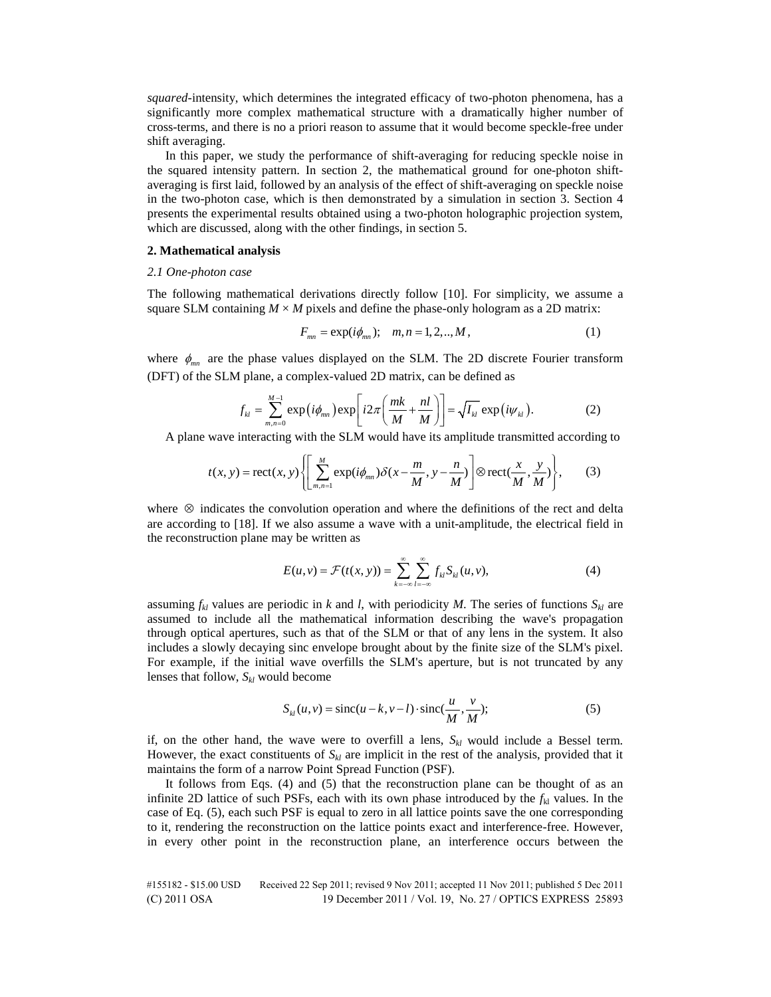*squared-*intensity, which determines the integrated efficacy of two-photon phenomena, has a significantly more complex mathematical structure with a dramatically higher number of cross-terms, and there is no a priori reason to assume that it would become speckle-free under shift averaging.

In this paper, we study the performance of shift-averaging for reducing speckle noise in the squared intensity pattern. In section 2, the mathematical ground for one-photon shiftaveraging is first laid, followed by an analysis of the effect of shift-averaging on speckle noise in the two-photon case, which is then demonstrated by a simulation in section 3. Section 4 presents the experimental results obtained using a two-photon holographic projection system, which are discussed, along with the other findings, in section 5.

## **2. Mathematical analysis**

### *2.1 One-photon case*

The following mathematical derivations directly follow [10]. For simplicity, we assume a square SLM containing  $M \times M$  pixels and define the phase-only hologram as a 2D matrix:

$$
F_{mn} = \exp(i\phi_{mn}); \quad m, n = 1, 2, ..., M,
$$
 (1)

where  $\phi_{mn}$  are the phase values displayed on the SLM. The 2D discrete Fourier transform (DFT) of the SLM plane, a complex-valued 2D matrix, can be defined as

$$
f_{kl} = \sum_{m,n=0}^{M-1} \exp\left(i\phi_{mn}\right) \exp\left[i2\pi\left(\frac{mk}{M} + \frac{nl}{M}\right)\right] = \sqrt{I_{kl}} \exp\left(i\psi_{kl}\right). \tag{2}
$$

A plane wave interacting with the SLM would have its amplitude transmitted according to

$$
t(x, y) = \text{rect}(x, y) \left\{ \left[ \sum_{m,n=1}^{M} \exp(i\phi_{mn}) \delta(x - \frac{m}{M}, y - \frac{n}{M}) \right] \otimes \text{rect}(\frac{x}{M}, \frac{y}{M}) \right\},\qquad(3)
$$

where ⊗ indicates the convolution operation and where the definitions of the rect and delta are according to [18]. If we also assume a wave with a unit-amplitude, the electrical field in the reconstruction plane may be written as

$$
E(u,v) = \mathcal{F}(t(x,y)) = \sum_{k=-\infty}^{\infty} \sum_{l=-\infty}^{\infty} f_{kl} S_{kl}(u,v),
$$
 (4)

assuming  $f_{kl}$  values are periodic in *k* and *l*, with periodicity *M*. The series of functions  $S_{kl}$  are assumed to include all the mathematical information describing the wave's propagation through optical apertures, such as that of the SLM or that of any lens in the system. It also includes a slowly decaying sinc envelope brought about by the finite size of the SLM's pixel. For example, if the initial wave overfills the SLM's aperture, but is not truncated by any lenses that follow,  $S_{kl}$  would become

$$
S_{kl}(u, v) = \operatorname{sinc}(u - k, v - l) \cdot \operatorname{sinc}(\frac{u}{M}, \frac{v}{M});
$$
\n(5)

if, on the other hand, the wave were to overfill a lens,  $S_{kl}$  would include a Bessel term. However, the exact constituents of  $S_{kl}$  are implicit in the rest of the analysis, provided that it maintains the form of a narrow Point Spread Function (PSF).

It follows from Eqs. (4) and (5) that the reconstruction plane can be thought of as an infinite 2D lattice of such PSFs, each with its own phase introduced by the  $f_{kl}$  values. In the case of Eq. (5), each such PSF is equal to zero in all lattice points save the one corresponding to it, rendering the reconstruction on the lattice points exact and interference-free. However, in every other point in the reconstruction plane, an interference occurs between the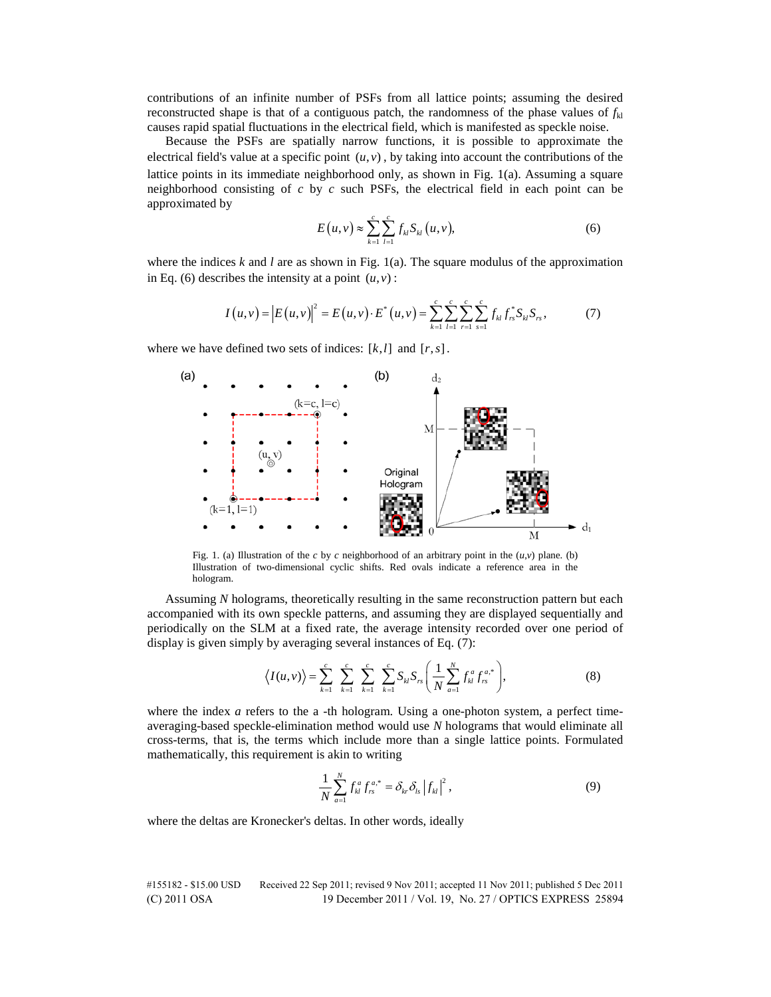contributions of an infinite number of PSFs from all lattice points; assuming the desired reconstructed shape is that of a contiguous patch, the randomness of the phase values of  $f_{k}$ causes rapid spatial fluctuations in the electrical field, which is manifested as speckle noise.

Because the PSFs are spatially narrow functions, it is possible to approximate the electrical field's value at a specific point  $(u, v)$ , by taking into account the contributions of the lattice points in its immediate neighborhood only, as shown in Fig. 1(a). Assuming a square neighborhood consisting of *c* by *c* such PSFs, the electrical field in each point can be approximated by

$$
E(u,v) \approx \sum_{k=1}^{c} \sum_{l=1}^{c} f_{kl} S_{kl}(u,v), \qquad (6)
$$

where the indices  $k$  and  $l$  are as shown in Fig. 1(a). The square modulus of the approximation in Eq. (6) describes the intensity at a point  $(u, v)$ :

$$
I(u,v) = |E(u,v)|^2 = E(u,v) \cdot E^*(u,v) = \sum_{k=1}^c \sum_{l=1}^c \sum_{r=1}^c \sum_{s=1}^c f_{kl} f_{rs}^* S_{kl} S_{rs},
$$
(7)

where we have defined two sets of indices:  $[k, l]$  and  $[r, s]$ .



Fig. 1. (a) Illustration of the *c* by *c* neighborhood of an arbitrary point in the  $(u, v)$  plane. (b) Illustration of two-dimensional cyclic shifts. Red ovals indicate a reference area in the hologram.

Assuming *N* holograms, theoretically resulting in the same reconstruction pattern but each accompanied with its own speckle patterns, and assuming they are displayed sequentially and periodically on the SLM at a fixed rate, the average intensity recorded over one period of display is given simply by averaging several instances of Eq. (7):

$$
\langle I(u,v)\rangle = \sum_{k=1}^{c} \sum_{k=1}^{c} \sum_{k=1}^{c} \sum_{k=1}^{c} S_{kl} S_{rs} \left(\frac{1}{N} \sum_{a=1}^{N} f_{kl}^{a} f_{rs}^{a,*}\right),
$$
(8)

where the index *a* refers to the a -th hologram. Using a one-photon system, a perfect timeaveraging-based speckle-elimination method would use *N* holograms that would eliminate all cross-terms, that is, the terms which include more than a single lattice points. Formulated mathematically, this requirement is akin to writing

$$
\frac{1}{N} \sum_{a=1}^{N} f_{kl}^{a} f_{rs}^{a,*} = \delta_{kr} \delta_{ls} |f_{kl}|^{2}, \qquad (9)
$$

where the deltas are Kronecker's deltas. In other words, ideally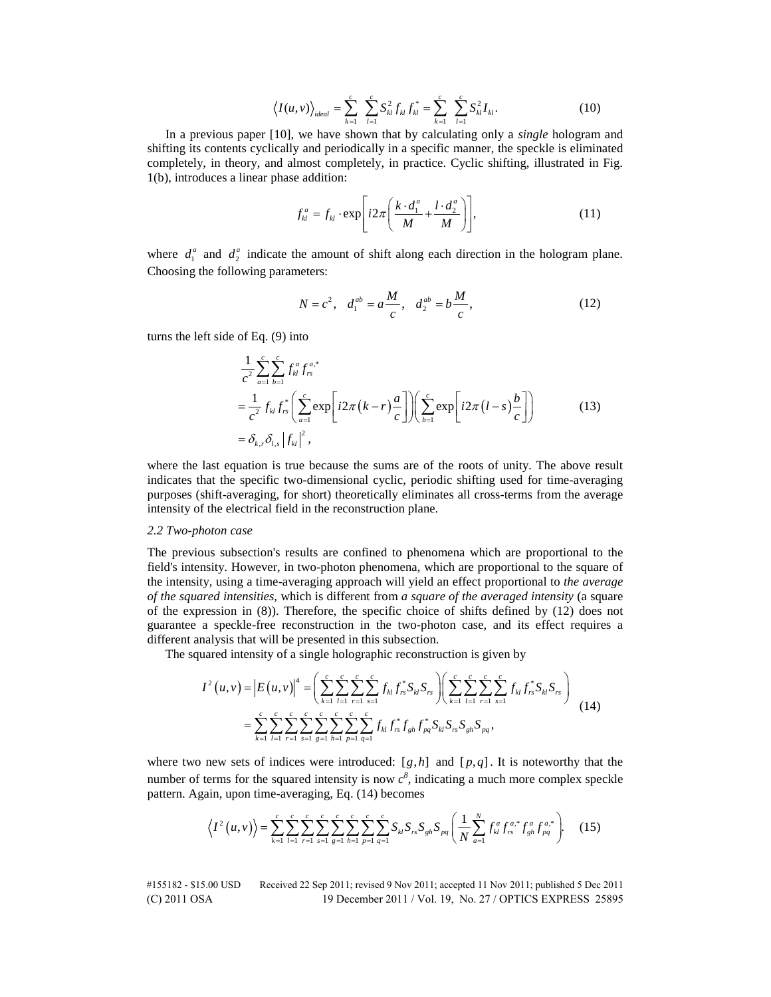$$
\left\langle I(u,v)\right\rangle_{ideal} = \sum_{k=1}^{c} \sum_{l=1}^{c} S_{kl}^{2} f_{kl} f_{kl}^{*} = \sum_{k=1}^{c} \sum_{l=1}^{c} S_{kl}^{2} I_{kl}.
$$
 (10)

In a previous paper [10], we have shown that by calculating only a *single* hologram and shifting its contents cyclically and periodically in a specific manner, the speckle is eliminated completely, in theory, and almost completely, in practice. Cyclic shifting, illustrated in Fig. 1(b), introduces a linear phase addition:

$$
f_{kl}^a = f_{kl} \cdot \exp\left[i2\pi \left(\frac{k \cdot d_1^a}{M} + \frac{l \cdot d_2^a}{M}\right)\right],\tag{11}
$$

where  $d_1^a$  and  $d_2^a$  indicate the amount of shift along each direction in the hologram plane. Choosing the following parameters:

$$
N = c^2, \quad d_1^{ab} = a \frac{M}{c}, \quad d_2^{ab} = b \frac{M}{c}, \tag{12}
$$

turns the left side of Eq. (9) into

$$
\frac{1}{c^2} \sum_{a=1}^{c} \sum_{b=1}^{c} f_{kl}^a f_{rs}^{a,*}
$$
\n
$$
= \frac{1}{c^2} f_{kl} f_{rs}^* \left( \sum_{a=1}^{c} \exp\left[i2\pi (k-r) \frac{a}{c}\right] \right) \left( \sum_{b=1}^{c} \exp\left[i2\pi (l-s) \frac{b}{c}\right] \right)
$$
\n
$$
= \delta_{k,r} \delta_{l,s} |f_{kl}|^2,
$$
\n(13)

where the last equation is true because the sums are of the roots of unity. The above result indicates that the specific two-dimensional cyclic, periodic shifting used for time-averaging purposes (shift-averaging, for short) theoretically eliminates all cross-terms from the average intensity of the electrical field in the reconstruction plane.

## *2.2 Two-photon case*

The previous subsection's results are confined to phenomena which are proportional to the field's intensity. However, in two-photon phenomena, which are proportional to the square of the intensity, using a time-averaging approach will yield an effect proportional to *the average of the squared intensities*, which is different from *a square of the averaged intensity* (a square of the expression in (8)). Therefore, the specific choice of shifts defined by (12) does not guarantee a speckle-free reconstruction in the two-photon case, and its effect requires a different analysis that will be presented in this subsection.

The squared intensity of a single holographic reconstruction is given by

$$
I^{2}(u,v) = |E(u,v)|^{4} = \left(\sum_{k=1}^{c} \sum_{l=1}^{c} \sum_{r=1}^{c} \sum_{s=1}^{c} f_{kl} f_{rs}^{*} S_{kl} S_{rs}\right) \left(\sum_{k=1}^{c} \sum_{l=1}^{c} \sum_{r=1}^{c} \sum_{s=1}^{c} f_{kl} f_{rs}^{*} S_{kl} S_{rs}\right)
$$
  

$$
= \sum_{k=1}^{c} \sum_{l=1}^{c} \sum_{r=1}^{c} \sum_{s=1}^{c} \sum_{l=1}^{c} \sum_{p=1}^{c} \sum_{q=1}^{c} f_{kl} f_{rs}^{*} f_{gh} f_{pq}^{*} S_{kl} S_{rs} S_{gh} S_{pq}, \qquad (14)
$$

where two new sets of indices were introduced:  $[g,h]$  and  $[p,q]$ . It is noteworthy that the number of terms for the squared intensity is now  $c^8$ , indicating a much more complex speckle pattern. Again, upon time-averaging, Eq. (14) becomes

$$
\left\langle I^{2}\left(u,v\right)\right\rangle =\sum_{k=1}^{c}\sum_{l=1}^{c}\sum_{s=1}^{c}\sum_{s=1}^{c}\sum_{h=1}^{c}\sum_{p=1}^{c}\sum_{q=1}^{c}\sum_{q=1}^{c}S_{kl}S_{rs}S_{gh}S_{pq}\left(\frac{1}{N}\sum_{a=1}^{N}f_{kl}^{a}f_{rs}^{a,*}f_{gh}^{a}f_{pq}^{a,*}\right).
$$
 (15)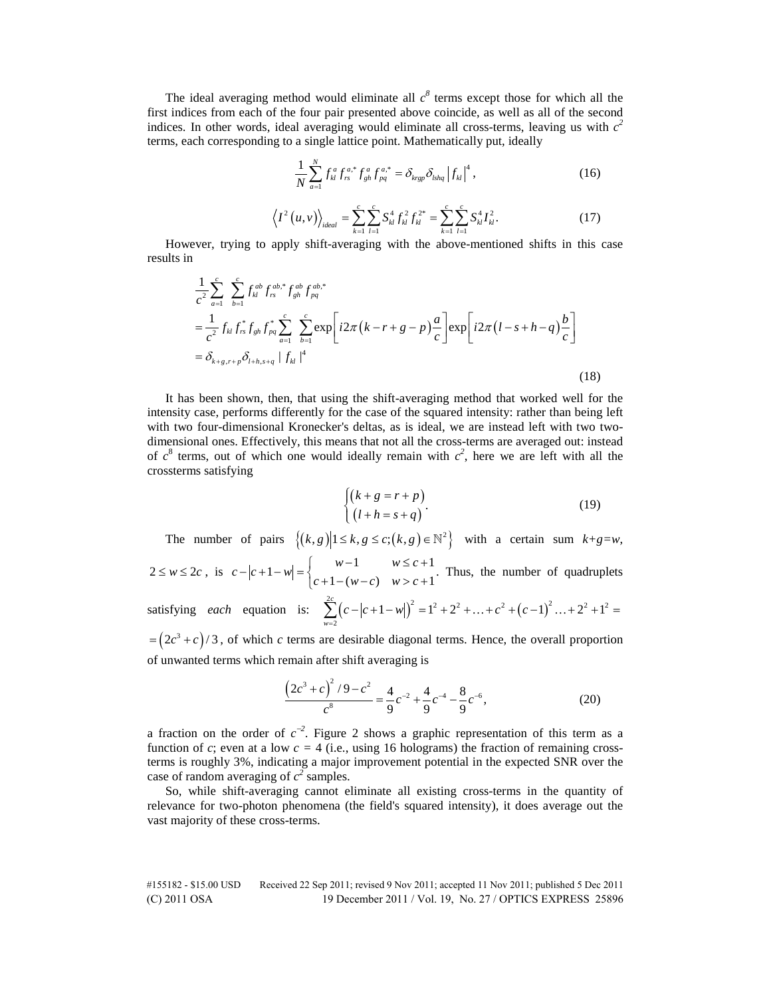The ideal averaging method would eliminate all  $c^{\delta}$  terms except those for which all the first indices from each of the four pair presented above coincide, as well as all of the second indices. In other words, ideal averaging would eliminate all cross-terms, leaving us with  $c<sup>2</sup>$ terms, each corresponding to a single lattice point. Mathematically put, ideally

$$
\frac{1}{N} \sum_{a=1}^{N} f_{kl}^{a} f_{rs}^{a,*} f_{gh}^{a} f_{pq}^{a,*} = \delta_{krg} \delta_{lshq} |f_{kl}|^{4}, \qquad (16)
$$

$$
\left\langle I^{2}\left(u,v\right)\right\rangle_{ideal} = \sum_{k=1}^{c} \sum_{l=1}^{c} S_{kl}^{4} f_{kl}^{2} f_{kl}^{2^{*}} = \sum_{k=1}^{c} \sum_{l=1}^{c} S_{kl}^{4} I_{kl}^{2}.
$$
 (17)

However, trying to apply shift-averaging with the above-mentioned shifts in this case results in

$$
\frac{1}{c^2} \sum_{a=1}^{c} \sum_{b=1}^{c} f_{kl}^{ab} f_{rs}^{ab,*} f_{gh}^{ab} f_{pq}^{ab,*}
$$
\n
$$
= \frac{1}{c^2} f_{kl} f_{rs}^* f_{gh} f_{pq}^* \sum_{a=1}^{c} \sum_{b=1}^{c} \exp\left[i2\pi (k - r + g - p) \frac{a}{c}\right] \exp\left[i2\pi (l - s + h - q) \frac{b}{c}\right]
$$
\n
$$
= \delta_{k+g,r+p} \delta_{l+h,s+q} |f_{kl}|^4
$$
\n(18)

It has been shown, then, that using the shift-averaging method that worked well for the intensity case, performs differently for the case of the squared intensity: rather than being left with two four-dimensional Kronecker's deltas, as is ideal, we are instead left with two twodimensional ones. Effectively, this means that not all the cross-terms are averaged out: instead of  $c^8$  terms, out of which one would ideally remain with  $c^2$ , here we are left with all the crossterms satisfying

$$
\begin{cases}\n(k+g=r+p) \\
(l+h=s+q)\n\end{cases}
$$
\n(19)

The number of pairs  $\{(k, g) | 1 \le k, g \le c; (k, g) \in \mathbb{N}^2\}$  with a certain sum  $k+g=w$ ,

$$
2 \le w \le 2c, \text{ is } c - |c + 1 - w| = \begin{cases} w - 1 & w \le c + 1 \\ c + 1 - (w - c) & w > c + 1 \end{cases}. \text{ Thus, the number of quadruplets}
$$

satisfying *each* equation is: 
$$
\sum_{w=2}^{2c} (c - |c + 1 - w|)^2 = 1^2 + 2^2 + ... + c^2 + (c - 1)^2 + ... + 2^2 + 1^2 =
$$

 $=(2c^3+c)/3$ , of which *c* terms are desirable diagonal terms. Hence, the overall proportion of unwanted terms which remain after shift averaging is

$$
\frac{\left(2c^3+c\right)^2/9-c^2}{c^8} = \frac{4}{9}c^{-2} + \frac{4}{9}c^{-4} - \frac{8}{9}c^{-6},\tag{20}
$$

a fraction on the order of  $c^{-2}$ . Figure 2 shows a graphic representation of this term as a function of *c*; even at a low  $c = 4$  (i.e., using 16 holograms) the fraction of remaining crossterms is roughly 3%, indicating a major improvement potential in the expected SNR over the case of random averaging of  $c^2$  samples.

So, while shift-averaging cannot eliminate all existing cross-terms in the quantity of relevance for two-photon phenomena (the field's squared intensity), it does average out the vast majority of these cross-terms.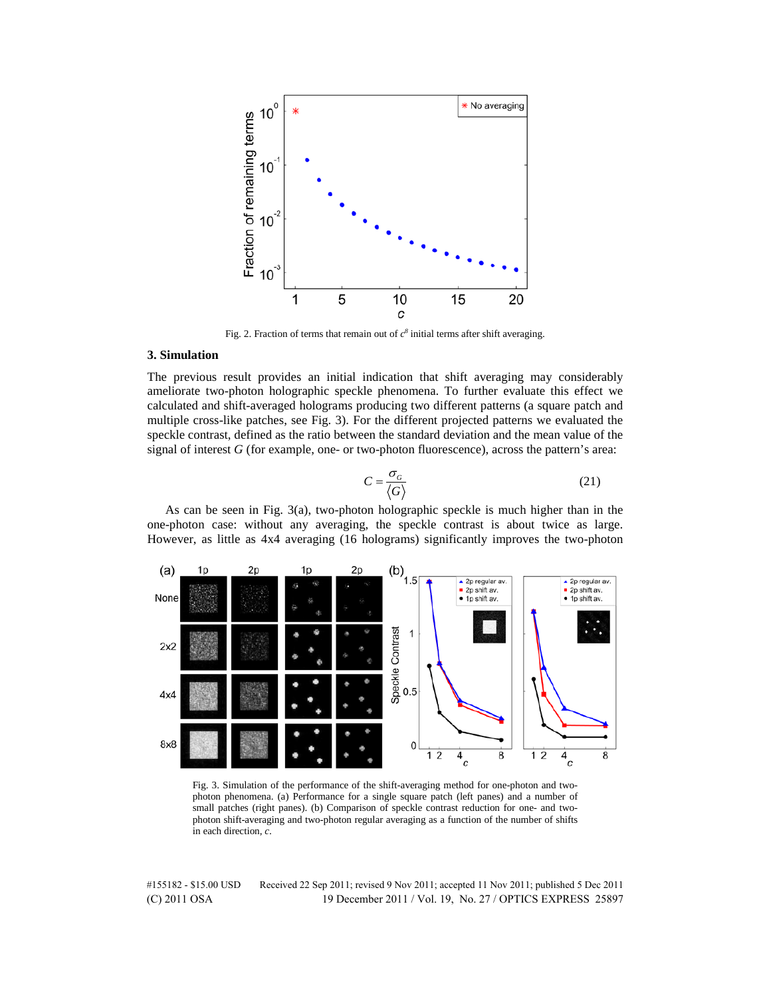

Fig. 2. Fraction of terms that remain out of  $c^8$  initial terms after shift averaging.

## **3. Simulation**

The previous result provides an initial indication that shift averaging may considerably ameliorate two-photon holographic speckle phenomena. To further evaluate this effect we calculated and shift-averaged holograms producing two different patterns (a square patch and multiple cross-like patches, see Fig. 3). For the different projected patterns we evaluated the speckle contrast, defined as the ratio between the standard deviation and the mean value of the signal of interest *G* (for example, one- or two-photon fluorescence), across the pattern's area:

$$
C = \frac{\sigma_G}{\langle G \rangle} \tag{21}
$$

As can be seen in Fig. 3(a), two-photon holographic speckle is much higher than in the one-photon case: without any averaging, the speckle contrast is about twice as large. However, as little as 4x4 averaging (16 holograms) significantly improves the two-photon



Fig. 3. Simulation of the performance of the shift-averaging method for one-photon and twophoton phenomena. (a) Performance for a single square patch (left panes) and a number of small patches (right panes). (b) Comparison of speckle contrast reduction for one- and twophoton shift-averaging and two-photon regular averaging as a function of the number of shifts in each direction, *c*.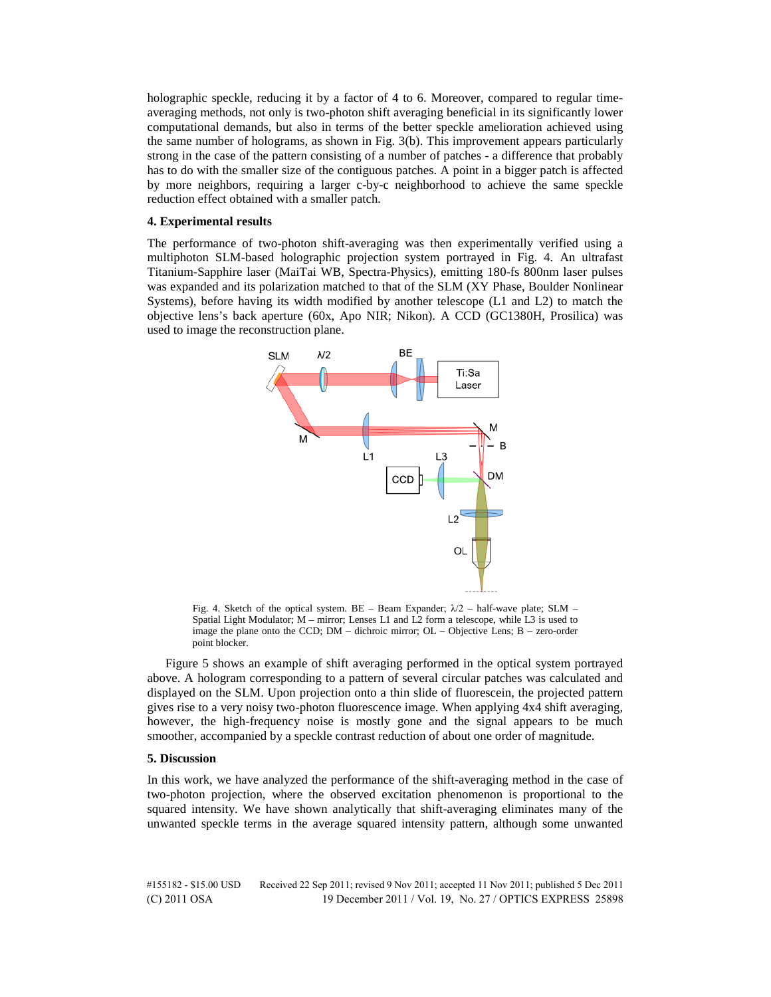holographic speckle, reducing it by a factor of 4 to 6. Moreover, compared to regular timeaveraging methods, not only is two-photon shift averaging beneficial in its significantly lower computational demands, but also in terms of the better speckle amelioration achieved using the same number of holograms, as shown in Fig. 3(b). This improvement appears particularly strong in the case of the pattern consisting of a number of patches - a difference that probably has to do with the smaller size of the contiguous patches. A point in a bigger patch is affected by more neighbors, requiring a larger c-by-c neighborhood to achieve the same speckle reduction effect obtained with a smaller patch.

## **4. Experimental results**

The performance of two-photon shift-averaging was then experimentally verified using a multiphoton SLM-based holographic projection system portrayed in Fig. 4. An ultrafast Titanium-Sapphire laser (MaiTai WB, Spectra-Physics), emitting 180-fs 800nm laser pulses was expanded and its polarization matched to that of the SLM (XY Phase, Boulder Nonlinear Systems), before having its width modified by another telescope (L1 and L2) to match the objective lens's back aperture (60x, Apo NIR; Nikon). A CCD (GC1380H, Prosilica) was used to image the reconstruction plane.



Fig. 4. Sketch of the optical system. BE – Beam Expander;  $\lambda/2$  – half-wave plate; SLM – Spatial Light Modulator; M – mirror; Lenses L1 and L2 form a telescope, while L3 is used to image the plane onto the CCD; DM – dichroic mirror; OL – Objective Lens; B – zero-order point blocker.

Figure 5 shows an example of shift averaging performed in the optical system portrayed above. A hologram corresponding to a pattern of several circular patches was calculated and displayed on the SLM. Upon projection onto a thin slide of fluorescein, the projected pattern gives rise to a very noisy two-photon fluorescence image. When applying 4x4 shift averaging, however, the high-frequency noise is mostly gone and the signal appears to be much smoother, accompanied by a speckle contrast reduction of about one order of magnitude.

#### **5. Discussion**

In this work, we have analyzed the performance of the shift-averaging method in the case of two-photon projection, where the observed excitation phenomenon is proportional to the squared intensity. We have shown analytically that shift-averaging eliminates many of the unwanted speckle terms in the average squared intensity pattern, although some unwanted